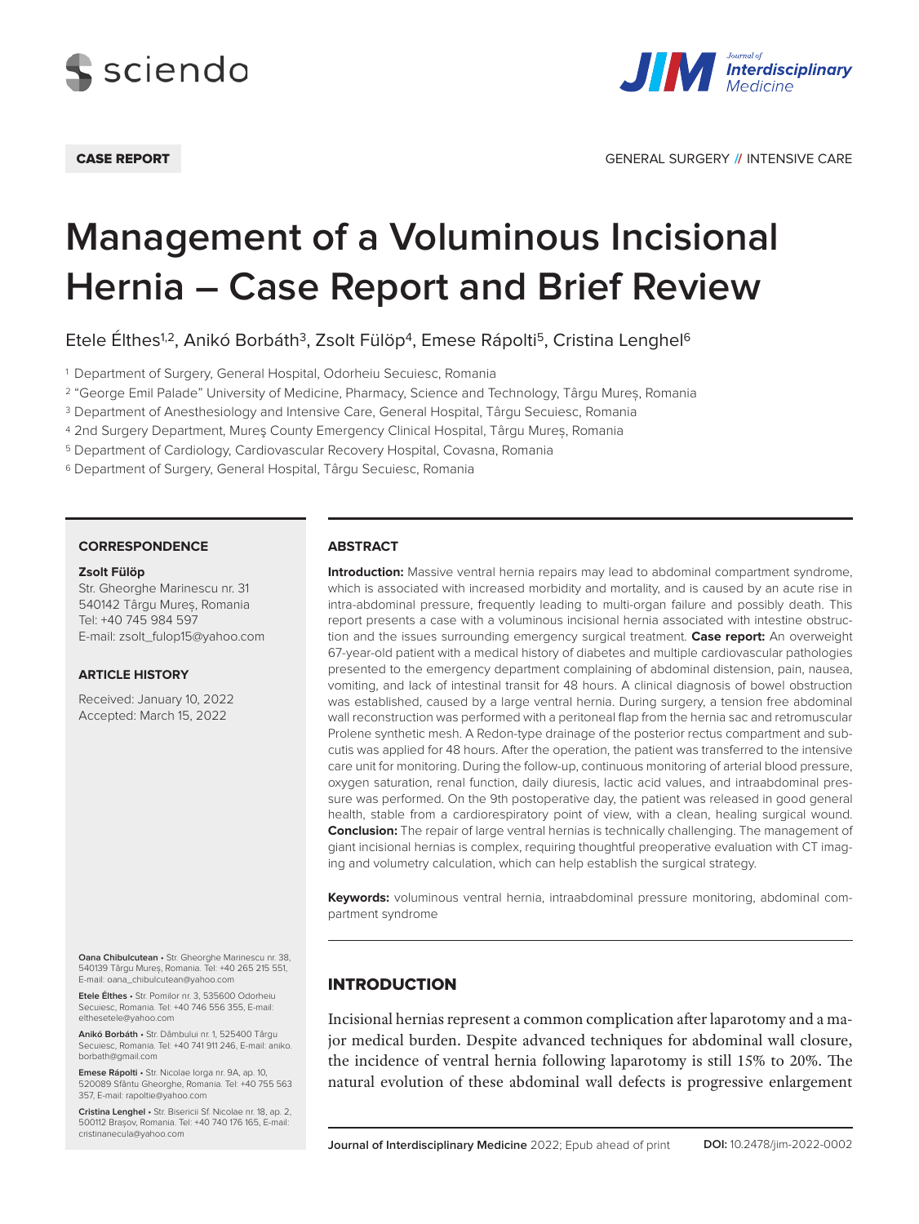



# **Management of a Voluminous Incisional Hernia – Case Report and Brief Review**

Etele Élthes<sup>1,2</sup>, Anikó Borbáth<sup>3</sup>, Zsolt Fülöp<sup>4</sup>, Emese Rápolti<sup>5</sup>, Cristina Lenghel<sup>6</sup>

<sup>1</sup> Department of Surgery, General Hospital, Odorheiu Secuiesc, Romania

<sup>2</sup> "George Emil Palade" University of Medicine, Pharmacy, Science and Technology, Târgu Mureș, Romania

<sup>3</sup> Department of Anesthesiology and Intensive Care, General Hospital, Târgu Secuiesc, Romania

<sup>4</sup> 2nd Surgery Department, Mureş County Emergency Clinical Hospital, Târgu Mureș, Romania

<sup>5</sup> Department of Cardiology, Cardiovascular Recovery Hospital, Covasna, Romania

<sup>6</sup> Department of Surgery, General Hospital, Târgu Secuiesc, Romania

#### **CORRESPONDENCE**

#### **Zsolt Fülöp**

Str. Gheorghe Marinescu nr. 31 540142 Târgu Mureș, Romania Tel: +40 745 984 597 E-mail: zsolt\_fulop15@yahoo.com

#### **ARTICLE HISTORY**

Received: January 10, 2022 Accepted: March 15, 2022

**Oana Chibulcutean** • Str. Gheorghe Marinescu nr. 38, 540139 Târgu Mureș, Romania. Tel: +40 265 215 551, E-mail: oana\_chibulcutean@yahoo.com

**Etele Élthes** • Str. Pomilor nr. 3, 535600 Odorheiu Secuiesc, Romania. Tel: +40 746 556 355, E-mail: elthesetele@yahoo.com

**Anikó Borbáth** • Str. Dâmbului nr. 1, 525400 Târgu Secuiesc, Romania. Tel: +40 741 911 246, E-mail: aniko. borbath@gmail.com

**Emese Rápolti** • Str. Nicolae Iorga nr. 9A, ap. 10, 520089 Sfântu Gheorghe, Romania. Tel: +40 755 563 357, E-mail: rapoltie@yahoo.com

**Cristina Lenghel** • Str. Bisericii Sf. Nicolae nr. 18, ap. 2, 500112 Brașov, Romania. Tel: +40 740 176 165, E-mail: cristinanecula@yahoo.com

#### **ABSTRACT**

**Introduction:** Massive ventral hernia repairs may lead to abdominal compartment syndrome, which is associated with increased morbidity and mortality, and is caused by an acute rise in intra-abdominal pressure, frequently leading to multi-organ failure and possibly death. This report presents a case with a voluminous incisional hernia associated with intestine obstruction and the issues surrounding emergency surgical treatment. **Case report:** An overweight 67-year-old patient with a medical history of diabetes and multiple cardiovascular pathologies presented to the emergency department complaining of abdominal distension, pain, nausea, vomiting, and lack of intestinal transit for 48 hours. A clinical diagnosis of bowel obstruction was established, caused by a large ventral hernia. During surgery, a tension free abdominal wall reconstruction was performed with a peritoneal flap from the hernia sac and retromuscular Prolene synthetic mesh. A Redon-type drainage of the posterior rectus compartment and subcutis was applied for 48 hours. After the operation, the patient was transferred to the intensive care unit for monitoring. During the follow-up, continuous monitoring of arterial blood pressure, oxygen saturation, renal function, daily diuresis, lactic acid values, and intraabdominal pressure was performed. On the 9th postoperative day, the patient was released in good general health, stable from a cardiorespiratory point of view, with a clean, healing surgical wound. **Conclusion:** The repair of large ventral hernias is technically challenging. The management of giant incisional hernias is complex, requiring thoughtful preoperative evaluation with CT imaging and volumetry calculation, which can help establish the surgical strategy.

**Keywords:** voluminous ventral hernia, intraabdominal pressure monitoring, abdominal compartment syndrome

## **INTRODUCTION**

Incisional hernias represent a common complication after laparotomy and a major medical burden. Despite advanced techniques for abdominal wall closure, the incidence of ventral hernia following laparotomy is still 15% to 20%. The natural evolution of these abdominal wall defects is progressive enlargement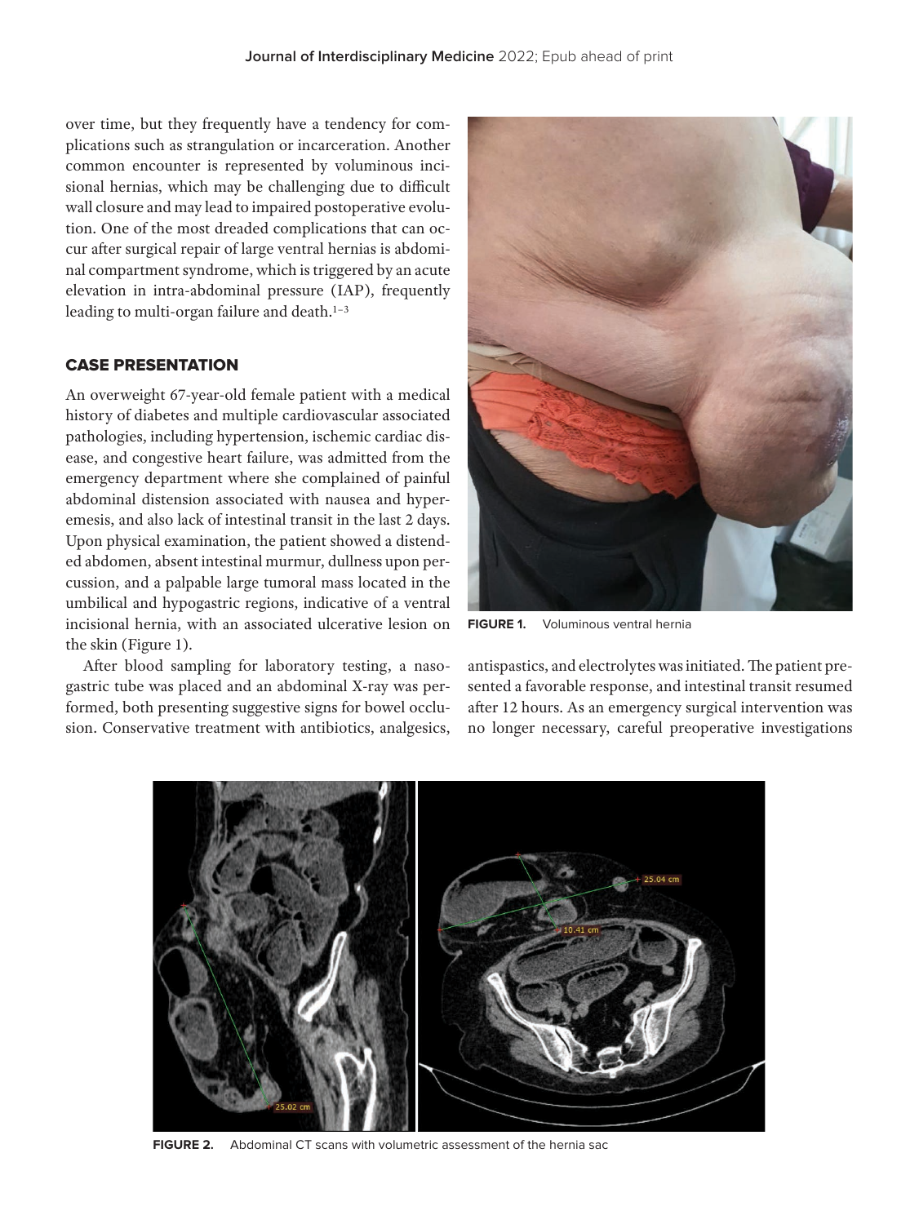over time, but they frequently have a tendency for complications such as strangulation or incarceration. Another common encounter is represented by voluminous incisional hernias, which may be challenging due to difficult wall closure and may lead to impaired postoperative evolution. One of the most dreaded complications that can occur after surgical repair of large ventral hernias is abdominal compartment syndrome, which is triggered by an acute elevation in intra-abdominal pressure (IAP), frequently leading to multi-organ failure and death.<sup>1-3</sup>

# CASE PRESEnTATIOn

An overweight 67-year-old female patient with a medical history of diabetes and multiple cardiovascular associated pathologies, including hypertension, ischemic cardiac disease, and congestive heart failure, was admitted from the emergency department where she complained of painful abdominal distension associated with nausea and hyperemesis, and also lack of intestinal transit in the last 2 days. Upon physical examination, the patient showed a distended abdomen, absent intestinal murmur, dullness upon percussion, and a palpable large tumoral mass located in the umbilical and hypogastric regions, indicative of a ventral incisional hernia, with an associated ulcerative lesion on the skin (Figure 1).

After blood sampling for laboratory testing, a nasogastric tube was placed and an abdominal X-ray was performed, both presenting suggestive signs for bowel occlusion. Conservative treatment with antibiotics, analgesics,



**FIGURE 1.** Voluminous ventral hernia

antispastics, and electrolytes was initiated. The patient presented a favorable response, and intestinal transit resumed after 12 hours. As an emergency surgical intervention was no longer necessary, careful preoperative investigations



**FIGURE 2.** Abdominal CT scans with volumetric assessment of the hernia sac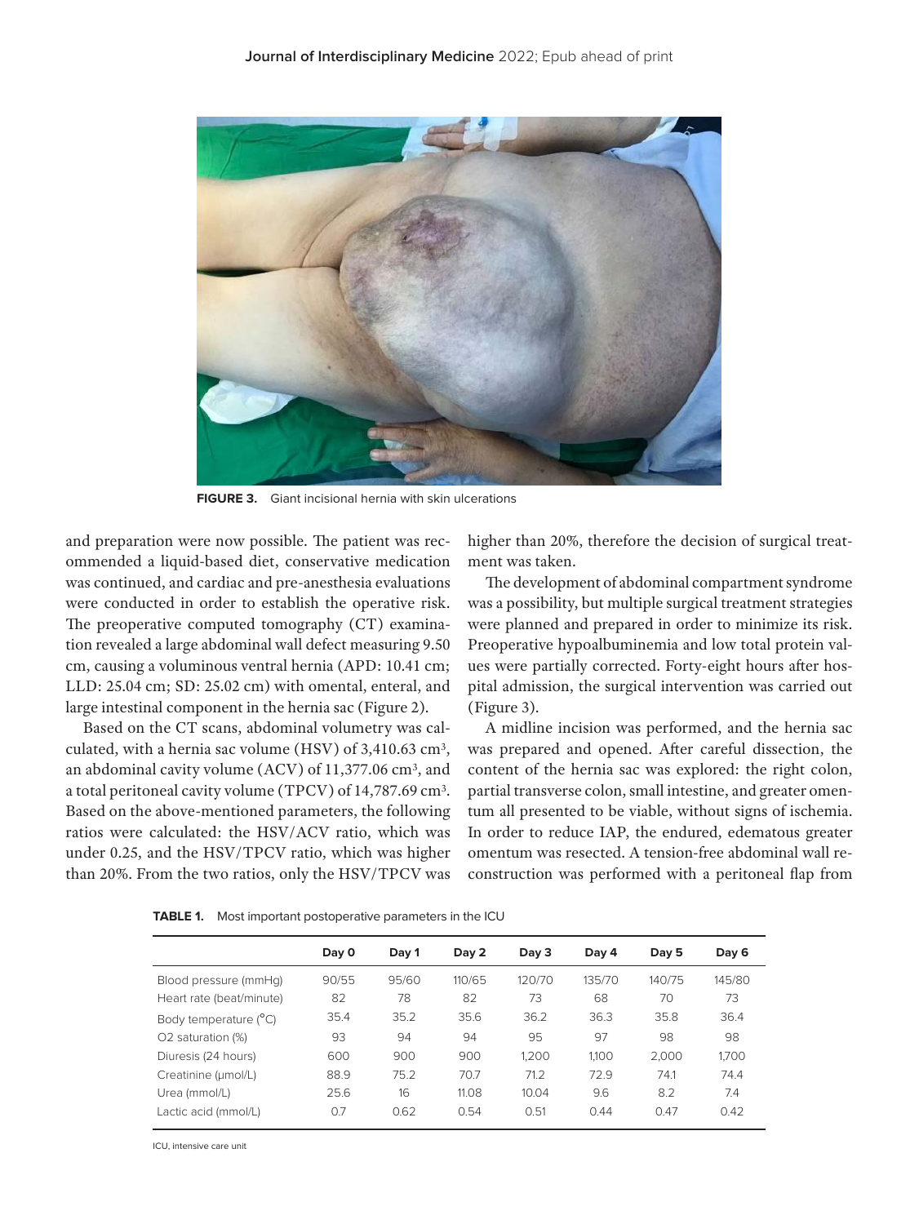

**FIGURE 3.** Giant incisional hernia with skin ulcerations

and preparation were now possible. The patient was recommended a liquid-based diet, conservative medication was continued, and cardiac and pre-anesthesia evaluations were conducted in order to establish the operative risk. The preoperative computed tomography (CT) examination revealed a large abdominal wall defect measuring 9.50 cm, causing a voluminous ventral hernia (APD: 10.41 cm; LLD: 25.04 cm; SD: 25.02 cm) with omental, enteral, and large intestinal component in the hernia sac (Figure 2).

Based on the CT scans, abdominal volumetry was calculated, with a hernia sac volume (HSV) of 3,410.63 cm3, an abdominal cavity volume (ACV) of 11,377.06 cm3, and a total peritoneal cavity volume (TPCV) of 14,787.69 cm3. Based on the above-mentioned parameters, the following ratios were calculated: the HSV/ACV ratio, which was under 0.25, and the HSV/TPCV ratio, which was higher than 20%. From the two ratios, only the HSV/TPCV was higher than 20%, therefore the decision of surgical treatment was taken.

The development of abdominal compartment syndrome was a possibility, but multiple surgical treatment strategies were planned and prepared in order to minimize its risk. Preoperative hypoalbuminemia and low total protein values were partially corrected. Forty-eight hours after hospital admission, the surgical intervention was carried out (Figure 3).

A midline incision was performed, and the hernia sac was prepared and opened. After careful dissection, the content of the hernia sac was explored: the right colon, partial transverse colon, small intestine, and greater omentum all presented to be viable, without signs of ischemia. In order to reduce IAP, the endured, edematous greater omentum was resected. A tension-free abdominal wall reconstruction was performed with a peritoneal flap from

|                          | Day 0 | Day 1 | Day 2  | Day 3  | Day 4  | Day 5  | Day 6  |
|--------------------------|-------|-------|--------|--------|--------|--------|--------|
| Blood pressure (mmHq)    | 90/55 | 95/60 | 110/65 | 120/70 | 135/70 | 140/75 | 145/80 |
| Heart rate (beat/minute) | 82    | 78    | 82     | 73     | 68     | 70     | 73     |
| Body temperature (°C)    | 35.4  | 35.2  | 35.6   | 36.2   | 36.3   | 35.8   | 36.4   |
| O2 saturation (%)        | 93    | 94    | 94     | 95     | 97     | 98     | 98     |
| Diuresis (24 hours)      | 600   | 900   | 900    | 1.200  | 1.100  | 2.000  | 1,700  |
| Creatinine (µmol/L)      | 88.9  | 75.2  | 70.7   | 71.2   | 72.9   | 74.1   | 74.4   |
| Urea (mmol/L)            | 25.6  | 16    | 11.08  | 10.04  | 9.6    | 8.2    | 7.4    |
| Lactic acid (mmol/L)     | 0.7   | 0.62  | 0.54   | 0.51   | 0.44   | 0.47   | 0.42   |

**TABLE 1.** Most important postoperative parameters in the ICU

ICU, intensive care unit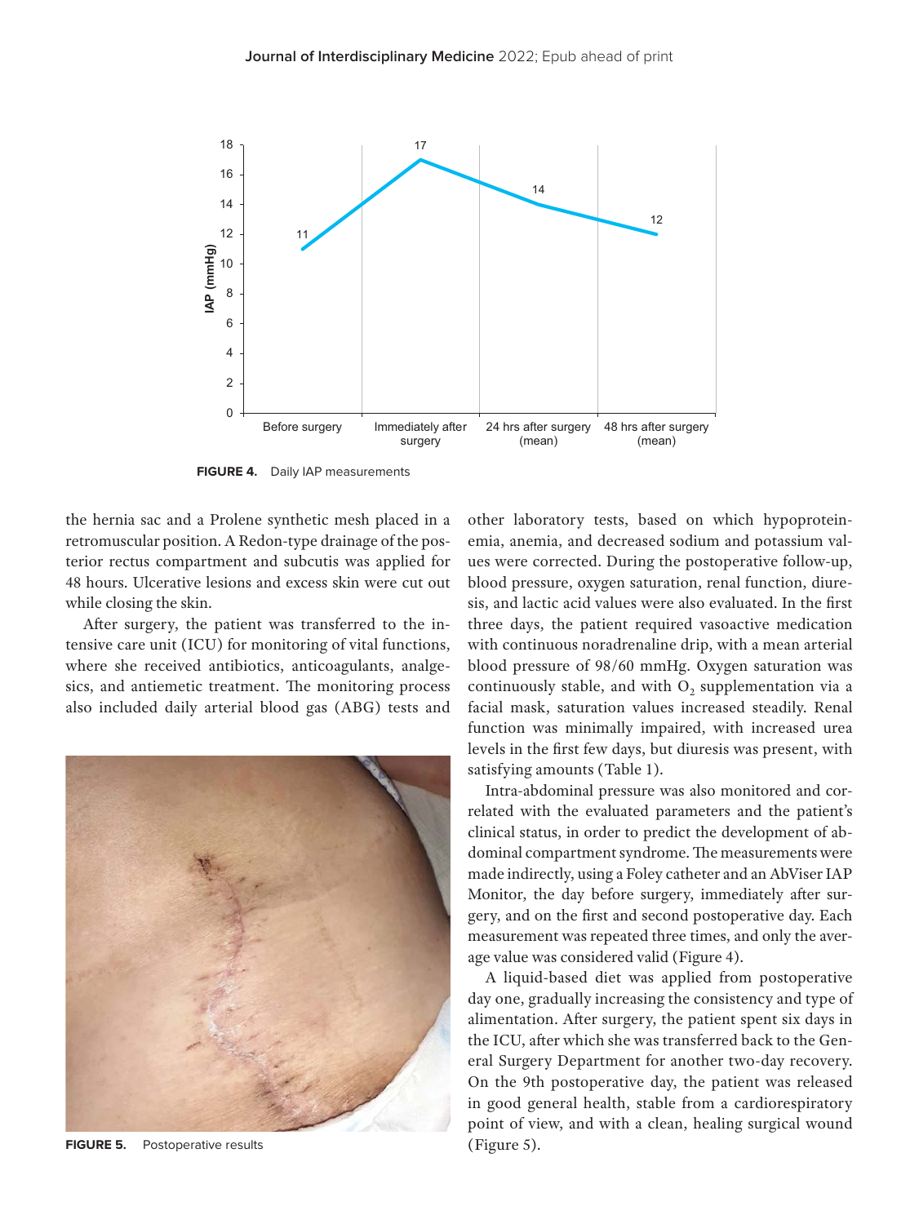

**FIGURE 4.** Daily IAP measurements

the hernia sac and a Prolene synthetic mesh placed in a retromuscular position. A Redon-type drainage of the posterior rectus compartment and subcutis was applied for 48 hours. Ulcerative lesions and excess skin were cut out while closing the skin.

After surgery, the patient was transferred to the intensive care unit (ICU) for monitoring of vital functions, where she received antibiotics, anticoagulants, analgesics, and antiemetic treatment. The monitoring process also included daily arterial blood gas (ABG) tests and



**FIGURE 5.** Postoperative results

other laboratory tests, based on which hypoproteinemia, anemia, and decreased sodium and potassium values were corrected. During the postoperative follow-up, blood pressure, oxygen saturation, renal function, diuresis, and lactic acid values were also evaluated. In the first three days, the patient required vasoactive medication with continuous noradrenaline drip, with a mean arterial blood pressure of 98/60 mmHg. Oxygen saturation was continuously stable, and with  $O<sub>2</sub>$  supplementation via a facial mask, saturation values increased steadily. Renal function was minimally impaired, with increased urea levels in the first few days, but diuresis was present, with satisfying amounts (Table 1).

Intra-abdominal pressure was also monitored and correlated with the evaluated parameters and the patient's clinical status, in order to predict the development of abdominal compartment syndrome. The measurements were made indirectly, using a Foley catheter and an AbViser IAP Monitor, the day before surgery, immediately after surgery, and on the first and second postoperative day. Each measurement was repeated three times, and only the average value was considered valid (Figure 4).

A liquid-based diet was applied from postoperative day one, gradually increasing the consistency and type of alimentation. After surgery, the patient spent six days in the ICU, after which she was transferred back to the General Surgery Department for another two-day recovery. On the 9th postoperative day, the patient was released in good general health, stable from a cardiorespiratory point of view, and with a clean, healing surgical wound (Figure 5).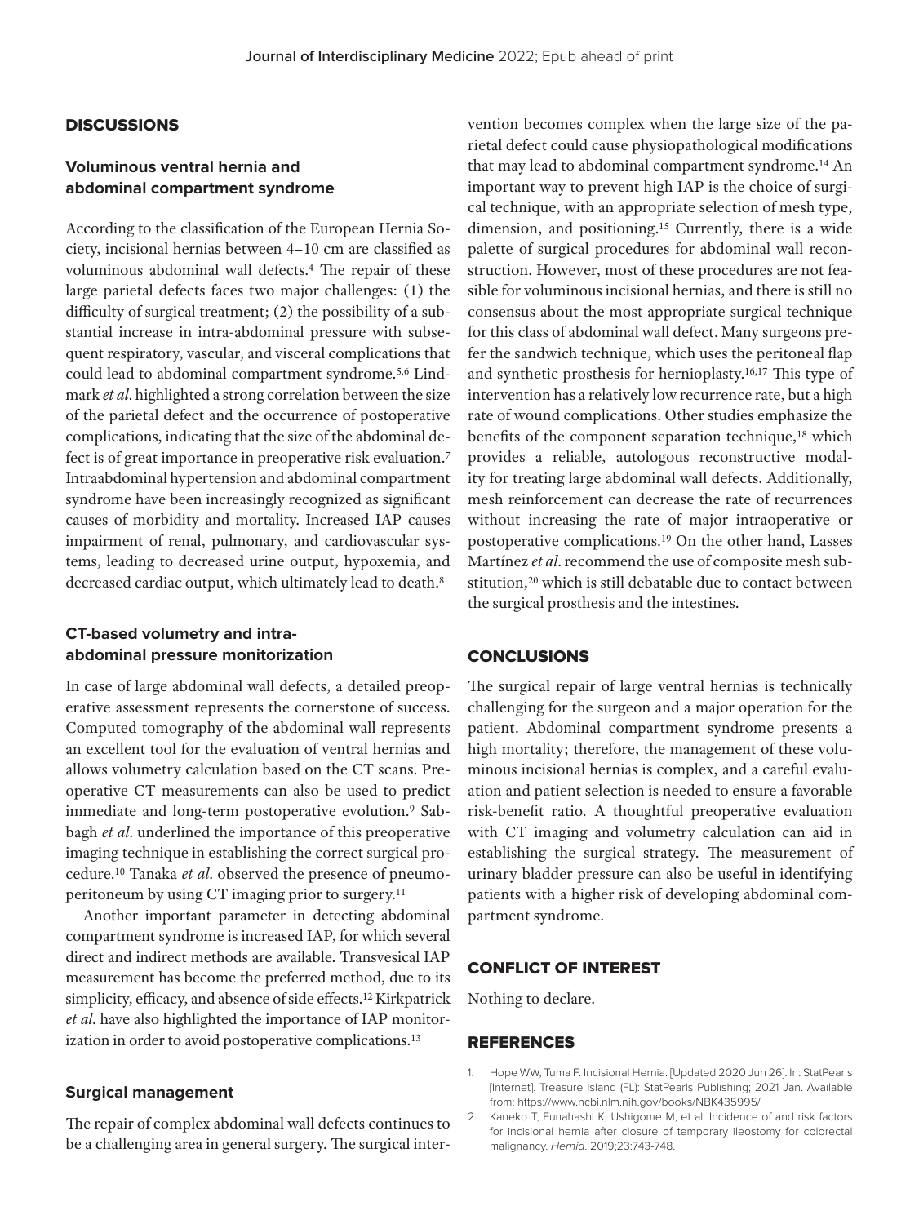## **DISCUSSIONS**

# **Voluminous ventral hernia and abdominal compartment syndrome**

According to the classification of the European Hernia Society, incisional hernias between 4–10 cm are classified as voluminous abdominal wall defects.4 The repair of these large parietal defects faces two major challenges: (1) the difficulty of surgical treatment; (2) the possibility of a substantial increase in intra-abdominal pressure with subsequent respiratory, vascular, and visceral complications that could lead to abdominal compartment syndrome.5,6 Lindmark *et al*. highlighted a strong correlation between the size of the parietal defect and the occurrence of postoperative complications, indicating that the size of the abdominal defect is of great importance in preoperative risk evaluation.7 Intraabdominal hypertension and abdominal compartment syndrome have been increasingly recognized as significant causes of morbidity and mortality. Increased IAP causes impairment of renal, pulmonary, and cardiovascular systems, leading to decreased urine output, hypoxemia, and decreased cardiac output, which ultimately lead to death.8

# **CT-based volumetry and intraabdominal pressure monitorization**

In case of large abdominal wall defects, a detailed preoperative assessment represents the cornerstone of success. Computed tomography of the abdominal wall represents an excellent tool for the evaluation of ventral hernias and allows volumetry calculation based on the CT scans. Preoperative CT measurements can also be used to predict immediate and long-term postoperative evolution.<sup>9</sup> Sabbagh *et al*. underlined the importance of this preoperative imaging technique in establishing the correct surgical procedure.10 Tanaka *et al*. observed the presence of pneumoperitoneum by using CT imaging prior to surgery.11

Another important parameter in detecting abdominal compartment syndrome is increased IAP, for which several direct and indirect methods are available. Transvesical IAP measurement has become the preferred method, due to its simplicity, efficacy, and absence of side effects.12 Kirkpatrick *et al*. have also highlighted the importance of IAP monitorization in order to avoid postoperative complications.13

## **Surgical management**

The repair of complex abdominal wall defects continues to be a challenging area in general surgery. The surgical intervention becomes complex when the large size of the parietal defect could cause physiopathological modifications that may lead to abdominal compartment syndrome.14 An important way to prevent high IAP is the choice of surgical technique, with an appropriate selection of mesh type, dimension, and positioning.15 Currently, there is a wide palette of surgical procedures for abdominal wall reconstruction. However, most of these procedures are not feasible for voluminous incisional hernias, and there is still no consensus about the most appropriate surgical technique for this class of abdominal wall defect. Many surgeons prefer the sandwich technique, which uses the peritoneal flap and synthetic prosthesis for hernioplasty.16,17 This type of intervention has a relatively low recurrence rate, but a high rate of wound complications. Other studies emphasize the benefits of the component separation technique,<sup>18</sup> which provides a reliable, autologous reconstructive modality for treating large abdominal wall defects. Additionally, mesh reinforcement can decrease the rate of recurrences without increasing the rate of major intraoperative or postoperative complications.19 On the other hand, Lasses Martínez *et al*. recommend the use of composite mesh substitution,<sup>20</sup> which is still debatable due to contact between the surgical prosthesis and the intestines.

## **CONCLUSIONS**

The surgical repair of large ventral hernias is technically challenging for the surgeon and a major operation for the patient. Abdominal compartment syndrome presents a high mortality; therefore, the management of these voluminous incisional hernias is complex, and a careful evaluation and patient selection is needed to ensure a favorable risk-benefit ratio. A thoughtful preoperative evaluation with CT imaging and volumetry calculation can aid in establishing the surgical strategy. The measurement of urinary bladder pressure can also be useful in identifying patients with a higher risk of developing abdominal compartment syndrome.

## CONFLICT OF INTEREST

Nothing to declare.

## **REFERENCES**

- 1. Hope WW, Tuma F. Incisional Hernia. [Updated 2020 Jun 26]. In: StatPearls [Internet]. Treasure Island (FL): StatPearls Publishing; 2021 Jan. Available from: https://www.ncbi.nlm.nih.gov/books/NBK435995/
- 2. Kaneko T, Funahashi K, Ushigome M, et al. Incidence of and risk factors for incisional hernia after closure of temporary ileostomy for colorectal malignancy. Hernia. 2019;23:743-748.